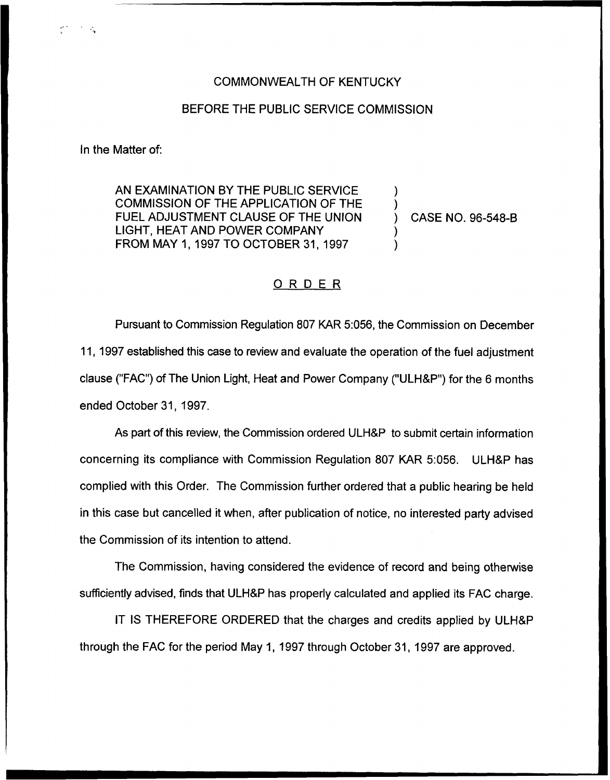## COMMONWEALTH OF KENTUCKY

## BEFORE THE PUBLIC SERVICE COMMISSION

In the Matter of:

AN EXAMINATION BY THE PUBLIC SERVICE COMMISSION OF THE APPLICATION OF THE FUEL ADJUSTMENT CLAUSE OF THE UNION LIGHT, HEAT AND POWER COMPANY FROM MAY 1, 1997TO OCTOBER 31, 1997

) CASE NO. 96-548-B

) )

) )

## ORDER

Pursuant to Commission Regulation 807 KAR 5:056, the Commission on December 11, 1997 established this case to review and evaluate the operation of the fuel adjustment clause ("FAC") of The Union Light, Heat and Power Company ("ULH&P") for the 6 months ended October 31, 1997.

As part of this review, the Commission ordered ULH8P to submit certain information concerning its compliance with Commission Regulation 807 KAR 5:056. ULH8P has complied with this Order. The Commission further ordered that a public hearing be held in this case but cancelled it when, after publication of notice, no interested party advised the Commission of its intention to attend.

The Commission, having considered the evidence of record and being otherwise sufficiently advised, finds that ULH8P has properly calculated and applied its FAC charge.

IT IS THEREFORE ORDERED that the charges and credits applied by ULH8P through the FAC for the period May 1, 1997 through October 31, 1997 are approved.